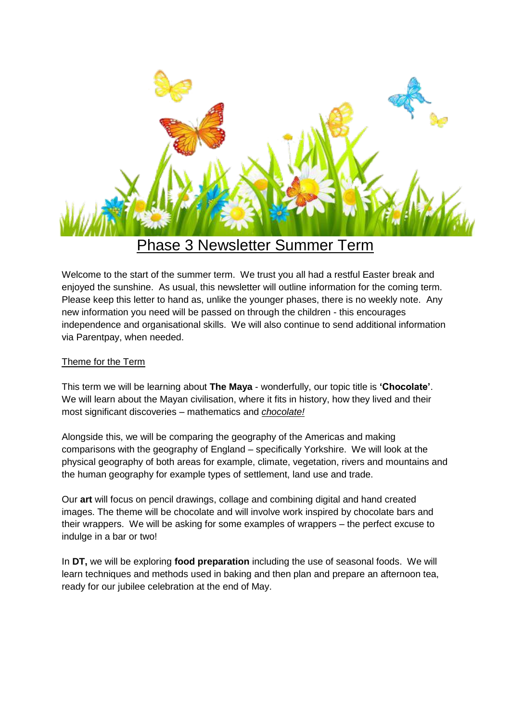

# Phase 3 Newsletter Summer Term

Welcome to the start of the summer term. We trust you all had a restful Easter break and enjoyed the sunshine. As usual, this newsletter will outline information for the coming term. Please keep this letter to hand as, unlike the younger phases, there is no weekly note. Any new information you need will be passed on through the children - this encourages independence and organisational skills. We will also continue to send additional information via Parentpay, when needed.

# Theme for the Term

This term we will be learning about **The Maya** - wonderfully, our topic title is **'Chocolate'**. We will learn about the Mayan civilisation, where it fits in history, how they lived and their most significant discoveries – mathematics and *chocolate!*

Alongside this, we will be comparing the geography of the Americas and making comparisons with the geography of England – specifically Yorkshire. We will look at the physical geography of both areas for example, climate, vegetation, rivers and mountains and the human geography for example types of settlement, land use and trade.

Our **art** will focus on pencil drawings, collage and combining digital and hand created images. The theme will be chocolate and will involve work inspired by chocolate bars and their wrappers. We will be asking for some examples of wrappers – the perfect excuse to indulge in a bar or two!

In **DT,** we will be exploring **food preparation** including the use of seasonal foods. We will learn techniques and methods used in baking and then plan and prepare an afternoon tea, ready for our jubilee celebration at the end of May.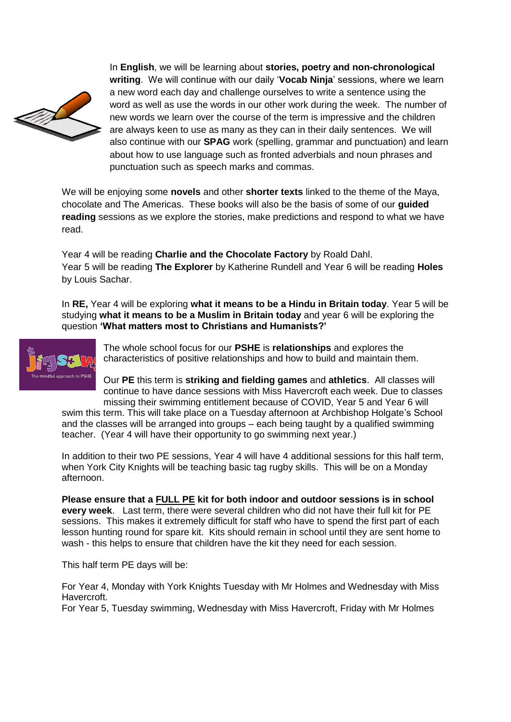

In **English**, we will be learning about **stories, poetry and non-chronological writing**. We will continue with our daily '**Vocab Ninja**' sessions, where we learn a new word each day and challenge ourselves to write a sentence using the word as well as use the words in our other work during the week. The number of new words we learn over the course of the term is impressive and the children are always keen to use as many as they can in their daily sentences. We will also continue with our **SPAG** work (spelling, grammar and punctuation) and learn about how to use language such as fronted adverbials and noun phrases and punctuation such as speech marks and commas.

We will be enjoying some **novels** and other **shorter texts** linked to the theme of the Maya, chocolate and The Americas. These books will also be the basis of some of our **guided reading** sessions as we explore the stories, make predictions and respond to what we have read.

Year 4 will be reading **Charlie and the Chocolate Factory** by Roald Dahl. Year 5 will be reading **The Explorer** by Katherine Rundell and Year 6 will be reading **Holes**  by Louis Sachar.

In **RE,** Year 4 will be exploring **what it means to be a Hindu in Britain today**. Year 5 will be studying **what it means to be a Muslim in Britain today** and year 6 will be exploring the question **'What matters most to Christians and Humanists?'**



The whole school focus for our **PSHE** is **relationships** and explores the characteristics of positive relationships and how to build and maintain them.

Our **PE** this term is **striking and fielding games** and **athletics**. All classes will continue to have dance sessions with Miss Havercroft each week. Due to classes missing their swimming entitlement because of COVID, Year 5 and Year 6 will

swim this term. This will take place on a Tuesday afternoon at Archbishop Holgate's School and the classes will be arranged into groups – each being taught by a qualified swimming teacher. (Year 4 will have their opportunity to go swimming next year.)

In addition to their two PE sessions, Year 4 will have 4 additional sessions for this half term, when York City Knights will be teaching basic tag rugby skills. This will be on a Monday afternoon.

**Please ensure that a FULL PE kit for both indoor and outdoor sessions is in school every week**. Last term, there were several children who did not have their full kit for PE sessions. This makes it extremely difficult for staff who have to spend the first part of each lesson hunting round for spare kit. Kits should remain in school until they are sent home to wash - this helps to ensure that children have the kit they need for each session.

This half term PE days will be:

For Year 4, Monday with York Knights Tuesday with Mr Holmes and Wednesday with Miss Havercroft.

For Year 5, Tuesday swimming, Wednesday with Miss Havercroft, Friday with Mr Holmes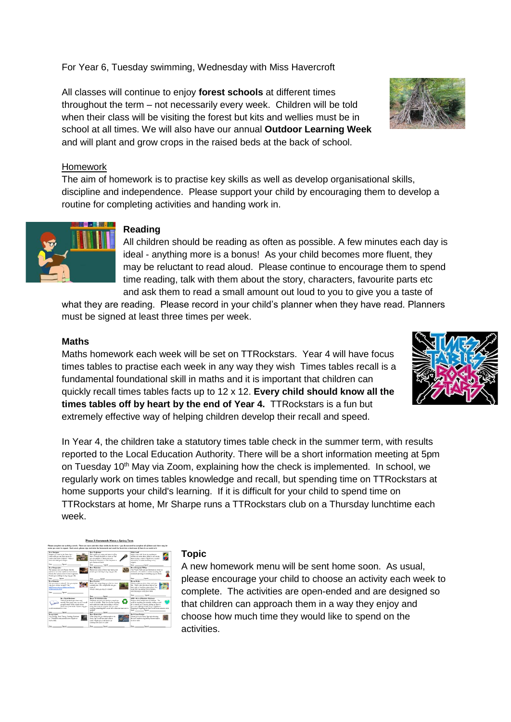# For Year 6, Tuesday swimming, Wednesday with Miss Havercroft

All classes will continue to enjoy **forest schools** at different times throughout the term – not necessarily every week. Children will be told when their class will be visiting the forest but kits and wellies must be in school at all times. We will also have our annual **Outdoor Learning Week** and will plant and grow crops in the raised beds at the back of school.

#### Homework

The aim of homework is to practise key skills as well as develop organisational skills, discipline and independence. Please support your child by encouraging them to develop a routine for completing activities and handing work in.



# **Reading**

All children should be reading as often as possible. A few minutes each day is ideal - anything more is a bonus! As your child becomes more fluent, they may be reluctant to read aloud. Please continue to encourage them to spend time reading, talk with them about the story, characters, favourite parts etc and ask them to read a small amount out loud to you to give you a taste of

what they are reading. Please record in your child's planner when they have read. Planners must be signed at least three times per week.

#### **Maths**

Maths homework each week will be set on TTRockstars. Year 4 will have focus times tables to practise each week in any way they wish Times tables recall is a fundamental foundational skill in maths and it is important that children can quickly recall times tables facts up to 12 x 12. **Every child should know all the times tables off by heart by the end of Year 4.** TTRockstars is a fun but extremely effective way of helping children develop their recall and speed.

In Year 4, the children take a statutory times table check in the summer term, with results reported to the Local Education Authority. There will be a short information meeting at 5pm on Tuesday 10th May via Zoom, explaining how the check is implemented. In school, we regularly work on times tables knowledge and recall, but spending time on TTRockstars at home supports your child's learning. If it is difficult for your child to spend time on TTRockstars at home, Mr Sharpe runs a TTRockstars club on a Thursday lunchtime each week.



### **Topic**

A new homework menu will be sent home soon. As usual, please encourage your child to choose an activity each week to complete. The activities are open-ended and are designed so that children can approach them in a way they enjoy and choose how much time they would like to spend on the activities.